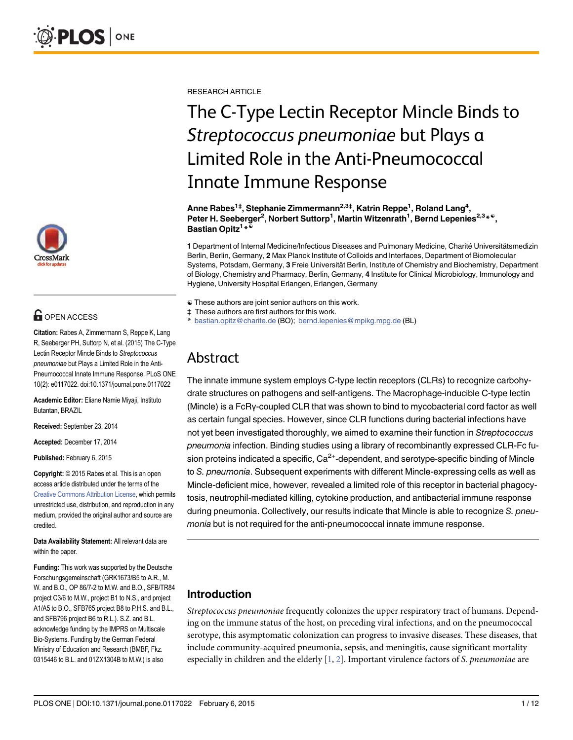

# **G** OPEN ACCESS

Citation: Rabes A, Zimmermann S, Reppe K, Lang R, Seeberger PH, Suttorp N, et al. (2015) The C-Type Lectin Receptor Mincle Binds to Streptococcus pneumoniae but Plays a Limited Role in the Anti-Pneumococcal Innate Immune Response. PLoS ONE 10(2): e0117022. doi:10.1371/journal.pone.0117022

Academic Editor: Eliane Namie Miyaji, Instituto Butantan, BRAZIL

Received: September 23, 2014

Accepted: December 17, 2014

Published: February 6, 2015

Copyright: © 2015 Rabes et al. This is an open access article distributed under the terms of the [Creative Commons Attribution License,](http://creativecommons.org/licenses/by/4.0/) which permits unrestricted use, distribution, and reproduction in any medium, provided the original author and source are credited.

Data Availability Statement: All relevant data are within the paper.

Funding: This work was supported by the Deutsche Forschungsgemeinschaft (GRK1673/B5 to A.R., M. W. and B.O., OP 86/7-2 to M.W. and B.O., SFB/TR84 project C3/6 to M.W., project B1 to N.S., and project A1/A5 to B.O., SFB765 project B8 to P.H.S. and B.L., and SFB796 project B6 to R.L.). S.Z. and B.L. acknowledge funding by the IMPRS on Multiscale Bio-Systems. Funding by the German Federal Ministry of Education and Research (BMBF, Fkz. 0315446 to B.L. and 01ZX1304B to M.W.) is also

<span id="page-0-0"></span>RESEARCH ARTICLE

# The C-Type Lectin Receptor Mincle Binds to Streptococcus pneumoniae but Plays a Limited Role in the Anti-Pneumococcal Innate Immune Response

Anne Rabes<sup>1‡</sup>, Stephanie Zimmermann<sup>2,3‡</sup>, Katrin Reppe<sup>1</sup>, Roland Lang<sup>4</sup>, Peter H. Seeberger<sup>2</sup>, Norbert Suttorp<sup>1</sup>, Martin Witzenrath<sup>1</sup>, Bernd Lepenies<sup>2,3\*®</sup>, Bastian Opitz<sup>1</sup>\*<sup>®</sup>

1 Department of Internal Medicine/Infectious Diseases and Pulmonary Medicine, Charité Universitätsmedizin Berlin, Berlin, Germany, 2 Max Planck Institute of Colloids and Interfaces, Department of Biomolecular Systems, Potsdam, Germany, 3 Freie Universität Berlin, Institute of Chemistry and Biochemistry, Department of Biology, Chemistry and Pharmacy, Berlin, Germany, 4 Institute for Clinical Microbiology, Immunology and Hygiene, University Hospital Erlangen, Erlangen, Germany

- ☯ These authors are joint senior authors on this work.
- ‡ These authors are first authors for this work.
- bastian.opitz@charite.de (BO); bernd.lepenies@mpikg.mpg.de (BL)

# Abstract

The innate immune system employs C-type lectin receptors (CLRs) to recognize carbohydrate structures on pathogens and self-antigens. The Macrophage-inducible C-type lectin (Mincle) is a FcRγ-coupled CLR that was shown to bind to mycobacterial cord factor as well as certain fungal species. However, since CLR functions during bacterial infections have not yet been investigated thoroughly, we aimed to examine their function in Streptococcus pneumonia infection. Binding studies using a library of recombinantly expressed CLR-Fc fusion proteins indicated a specific,  $Ca<sup>2+</sup>$ -dependent, and serotype-specific binding of Mincle to S. pneumonia. Subsequent experiments with different Mincle-expressing cells as well as Mincle-deficient mice, however, revealed a limited role of this receptor in bacterial phagocytosis, neutrophil-mediated killing, cytokine production, and antibacterial immune response during pneumonia. Collectively, our results indicate that Mincle is able to recognize S. pneumonia but is not required for the anti-pneumococcal innate immune response.

# Introduction

Streptococcus pneumoniae frequently colonizes the upper respiratory tract of humans. Depending on the immune status of the host, on preceding viral infections, and on the pneumococcal serotype, this asymptomatic colonization can progress to invasive diseases. These diseases, that include community-acquired pneumonia, sepsis, and meningitis, cause significant mortality especially in children and the elderly  $[1, 2]$  $[1, 2]$  $[1, 2]$  $[1, 2]$ . Important virulence factors of S. pneumoniae are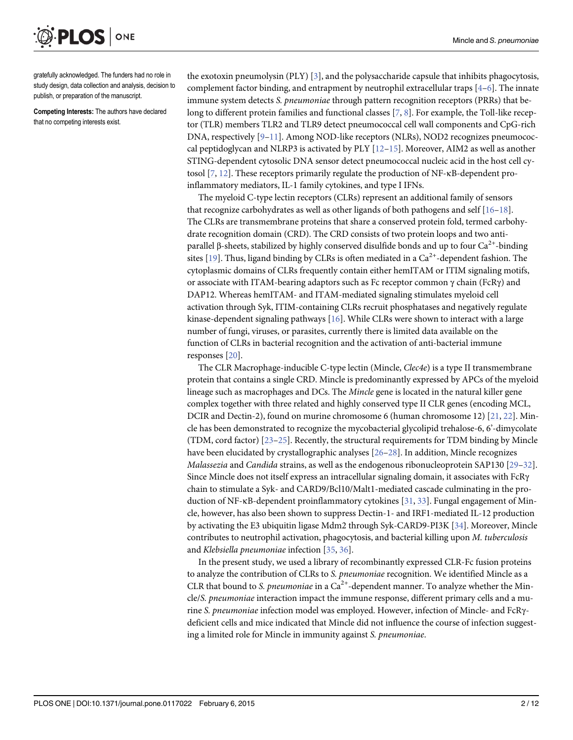<span id="page-1-0"></span>ONE PLOS I

gratefully acknowledged. The funders had no role in study design, data collection and analysis, decision to publish, or preparation of the manuscript.

Competing Interests: The authors have declared that no competing interests exist.

the exotoxin pneumolysin (PLY) [\[3](#page-9-0)], and the polysaccharide capsule that inhibits phagocytosis, complement factor binding, and entrapment by neutrophil extracellular traps  $[4-6]$  $[4-6]$  $[4-6]$  $[4-6]$  $[4-6]$ . The innate immune system detects S. pneumoniae through pattern recognition receptors (PRRs) that be-long to different protein families and functional classes [[7](#page-9-0), [8\]](#page-9-0). For example, the Toll-like receptor (TLR) members TLR2 and TLR9 detect pneumococcal cell wall components and CpG-rich DNA, respectively [\[9](#page-9-0)–[11\]](#page-10-0). Among NOD-like receptors (NLRs), NOD2 recognizes pneumococcal peptidoglycan and NLRP3 is activated by PLY  $[12-15]$  $[12-15]$  $[12-15]$  $[12-15]$ . Moreover, AIM2 as well as another STING-dependent cytosolic DNA sensor detect pneumococcal nucleic acid in the host cell cytosol  $[7, 12]$  $[7, 12]$  $[7, 12]$  $[7, 12]$ . These receptors primarily regulate the production of NF- $\kappa$ B-dependent proinflammatory mediators, IL-1 family cytokines, and type I IFNs.

The myeloid C-type lectin receptors (CLRs) represent an additional family of sensors that recognize carbohydrates as well as other ligands of both pathogens and self  $[16-18]$  $[16-18]$  $[16-18]$  $[16-18]$  $[16-18]$ . The CLRs are transmembrane proteins that share a conserved protein fold, termed carbohydrate recognition domain (CRD). The CRD consists of two protein loops and two antiparallel β-sheets, stabilized by highly conserved disulfide bonds and up to four  $Ca<sup>2+</sup>$ -binding sites [[19](#page-10-0)]. Thus, ligand binding by CLRs is often mediated in a  $\text{Ca}^{2+}$ -dependent fashion. The cytoplasmic domains of CLRs frequently contain either hemITAM or ITIM signaling motifs, or associate with ITAM-bearing adaptors such as Fc receptor common  $\gamma$  chain (FcR $\gamma$ ) and DAP12. Whereas hemITAM- and ITAM-mediated signaling stimulates myeloid cell activation through Syk, ITIM-containing CLRs recruit phosphatases and negatively regulate kinase-dependent signaling pathways [[16](#page-10-0)]. While CLRs were shown to interact with a large number of fungi, viruses, or parasites, currently there is limited data available on the function of CLRs in bacterial recognition and the activation of anti-bacterial immune responses [\[20\]](#page-10-0).

The CLR Macrophage-inducible C-type lectin (Mincle, Clec4e) is a type II transmembrane protein that contains a single CRD. Mincle is predominantly expressed by APCs of the myeloid lineage such as macrophages and DCs. The Mincle gene is located in the natural killer gene complex together with three related and highly conserved type II CLR genes (encoding MCL, DCIR and Dectin-2), found on murine chromosome 6 (human chromosome 12) [\[21,](#page-10-0) [22\]](#page-10-0). Mincle has been demonstrated to recognize the mycobacterial glycolipid trehalose-6, 6'-dimycolate (TDM, cord factor) [[23](#page-10-0)–[25\]](#page-10-0). Recently, the structural requirements for TDM binding by Mincle have been elucidated by crystallographic analyses [\[26](#page-10-0)–[28\]](#page-10-0). In addition, Mincle recognizes Malassezia and Candida strains, as well as the endogenous ribonucleoprotein SAP130 [\[29](#page-10-0)–[32\]](#page-11-0). Since Mincle does not itself express an intracellular signaling domain, it associates with FcRγ chain to stimulate a Syk- and CARD9/Bcl10/Malt1-mediated cascade culminating in the production of NF-κB-dependent proinflammatory cytokines [\[31,](#page-11-0) [33\]](#page-11-0). Fungal engagement of Mincle, however, has also been shown to suppress Dectin-1- and IRF1-mediated IL-12 production by activating the E3 ubiquitin ligase Mdm2 through Syk-CARD9-PI3K [[34](#page-11-0)]. Moreover, Mincle contributes to neutrophil activation, phagocytosis, and bacterial killing upon M. tuberculosis and Klebsiella pneumoniae infection [[35](#page-11-0), [36](#page-11-0)].

In the present study, we used a library of recombinantly expressed CLR-Fc fusion proteins to analyze the contribution of CLRs to S. pneumoniae recognition. We identified Mincle as a CLR that bound to S. pneumoniae in a  $Ca^{2+}$ -dependent manner. To analyze whether the Mincle/S. pneumoniae interaction impact the immune response, different primary cells and a murine S. pneumoniae infection model was employed. However, infection of Mincle- and FcRγdeficient cells and mice indicated that Mincle did not influence the course of infection suggesting a limited role for Mincle in immunity against S. pneumoniae.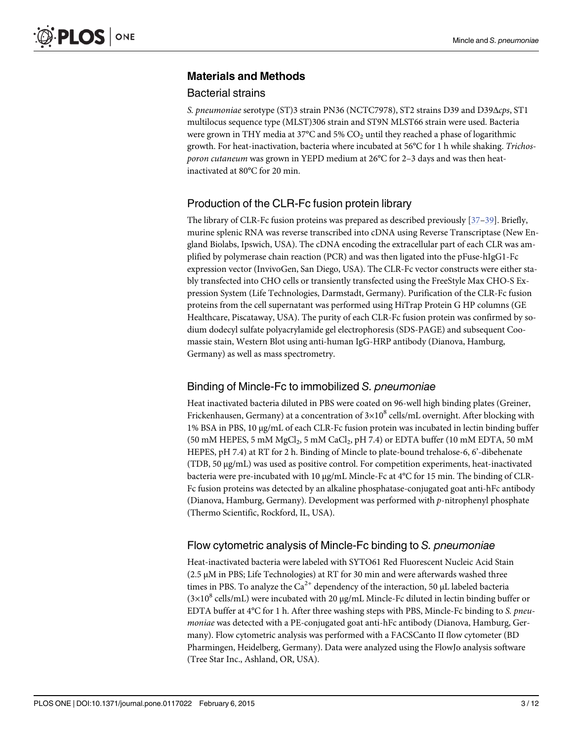# <span id="page-2-0"></span>Materials and Methods

### Bacterial strains

S. pneumoniae serotype (ST)3 strain PN36 (NCTC7978), ST2 strains D39 and D39Δcps, ST1 multilocus sequence type (MLST)306 strain and ST9N MLST66 strain were used. Bacteria were grown in THY media at 37 $\degree$ C and 5% CO<sub>2</sub> until they reached a phase of logarithmic growth. For heat-inactivation, bacteria where incubated at 56°C for 1 h while shaking. Trichosporon cutaneum was grown in YEPD medium at 26°C for 2–3 days and was then heatinactivated at 80°C for 20 min.

# Production of the CLR-Fc fusion protein library

The library of CLR-Fc fusion proteins was prepared as described previously [[37](#page-11-0)-[39\]](#page-11-0). Briefly, murine splenic RNA was reverse transcribed into cDNA using Reverse Transcriptase (New England Biolabs, Ipswich, USA). The cDNA encoding the extracellular part of each CLR was amplified by polymerase chain reaction (PCR) and was then ligated into the pFuse-hIgG1-Fc expression vector (InvivoGen, San Diego, USA). The CLR-Fc vector constructs were either stably transfected into CHO cells or transiently transfected using the FreeStyle Max CHO-S Expression System (Life Technologies, Darmstadt, Germany). Purification of the CLR-Fc fusion proteins from the cell supernatant was performed using HiTrap Protein G HP columns (GE Healthcare, Piscataway, USA). The purity of each CLR-Fc fusion protein was confirmed by sodium dodecyl sulfate polyacrylamide gel electrophoresis (SDS-PAGE) and subsequent Coomassie stain, Western Blot using anti-human IgG-HRP antibody (Dianova, Hamburg, Germany) as well as mass spectrometry.

# Binding of Mincle-Fc to immobilized S. pneumoniae

Heat inactivated bacteria diluted in PBS were coated on 96-well high binding plates (Greiner, Frickenhausen, Germany) at a concentration of  $3\times10^8$  cells/mL overnight. After blocking with 1% BSA in PBS, 10 μg/mL of each CLR-Fc fusion protein was incubated in lectin binding buffer (50 mM HEPES, 5 mM MgCl<sub>2</sub>, 5 mM CaCl<sub>2</sub>, pH 7.4) or EDTA buffer (10 mM EDTA, 50 mM HEPES, pH 7.4) at RT for 2 h. Binding of Mincle to plate-bound trehalose-6, 6'-dibehenate (TDB, 50 µg/mL) was used as positive control. For competition experiments, heat-inactivated bacteria were pre-incubated with 10 µg/mL Mincle-Fc at 4°C for 15 min. The binding of CLR-Fc fusion proteins was detected by an alkaline phosphatase-conjugated goat anti-hFc antibody (Dianova, Hamburg, Germany). Development was performed with p-nitrophenyl phosphate (Thermo Scientific, Rockford, IL, USA).

# Flow cytometric analysis of Mincle-Fc binding to S. pneumoniae

Heat-inactivated bacteria were labeled with SYTO61 Red Fluorescent Nucleic Acid Stain  $(2.5 \mu M)$  in PBS; Life Technologies) at RT for 30 min and were afterwards washed three times in PBS. To analyze the  $Ca^{2+}$  dependency of the interaction, 50 µL labeled bacteria  $(3\times10^8 \text{ cells/mL})$  were incubated with 20 µg/mL Mincle-Fc diluted in lectin binding buffer or EDTA buffer at 4°C for 1 h. After three washing steps with PBS, Mincle-Fc binding to S. pneumoniae was detected with a PE-conjugated goat anti-hFc antibody (Dianova, Hamburg, Germany). Flow cytometric analysis was performed with a FACSCanto II flow cytometer (BD Pharmingen, Heidelberg, Germany). Data were analyzed using the FlowJo analysis software (Tree Star Inc., Ashland, OR, USA).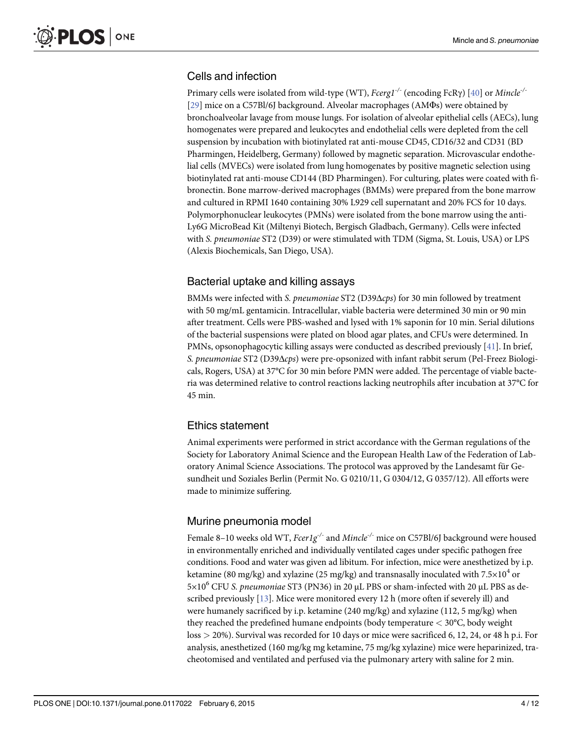# <span id="page-3-0"></span>Cells and infection

Primary cells were isolated from wild-type (WT), Fcerg1<sup>-/-</sup> (encoding FcRγ) [\[40\]](#page-11-0) or Mincle<sup>-/-</sup> [\[29](#page-10-0)] mice on a C57Bl/6J background. Alveolar macrophages (AMΦs) were obtained by bronchoalveolar lavage from mouse lungs. For isolation of alveolar epithelial cells (AECs), lung homogenates were prepared and leukocytes and endothelial cells were depleted from the cell suspension by incubation with biotinylated rat anti-mouse CD45, CD16/32 and CD31 (BD Pharmingen, Heidelberg, Germany) followed by magnetic separation. Microvascular endothelial cells (MVECs) were isolated from lung homogenates by positive magnetic selection using biotinylated rat anti-mouse CD144 (BD Pharmingen). For culturing, plates were coated with fibronectin. Bone marrow-derived macrophages (BMMs) were prepared from the bone marrow and cultured in RPMI 1640 containing 30% L929 cell supernatant and 20% FCS for 10 days. Polymorphonuclear leukocytes (PMNs) were isolated from the bone marrow using the anti-Ly6G MicroBead Kit (Miltenyi Biotech, Bergisch Gladbach, Germany). Cells were infected with S. pneumoniae ST2 (D39) or were stimulated with TDM (Sigma, St. Louis, USA) or LPS (Alexis Biochemicals, San Diego, USA).

# Bacterial uptake and killing assays

BMMs were infected with S. pneumoniae ST2 (D39Δcps) for 30 min followed by treatment with 50 mg/mL gentamicin. Intracellular, viable bacteria were determined 30 min or 90 min after treatment. Cells were PBS-washed and lysed with 1% saponin for 10 min. Serial dilutions of the bacterial suspensions were plated on blood agar plates, and CFUs were determined. In PMNs, opsonophagocytic killing assays were conducted as described previously [\[41\]](#page-11-0). In brief, S. pneumoniae ST2 (D39Δcps) were pre-opsonized with infant rabbit serum (Pel-Freez Biologicals, Rogers, USA) at 37°C for 30 min before PMN were added. The percentage of viable bacteria was determined relative to control reactions lacking neutrophils after incubation at 37°C for 45 min.

# Ethics statement

Animal experiments were performed in strict accordance with the German regulations of the Society for Laboratory Animal Science and the European Health Law of the Federation of Laboratory Animal Science Associations. The protocol was approved by the Landesamt für Gesundheit und Soziales Berlin (Permit No. G 0210/11, G 0304/12, G 0357/12). All efforts were made to minimize suffering.

# Murine pneumonia model

Female 8–10 weeks old WT,  $Fcer1g^{-/-}$  and Mincle<sup>-/-</sup> mice on C57Bl/6J background were housed in environmentally enriched and individually ventilated cages under specific pathogen free conditions. Food and water was given ad libitum. For infection, mice were anesthetized by i.p. ketamine (80 mg/kg) and xylazine (25 mg/kg) and transnasally inoculated with  $7.5\times10^4$  or  $5\times10^6$  CFU S. pneumoniae ST3 (PN36) in 20  $\mu$ L PBS or sham-infected with 20  $\mu$ L PBS as described previously [[13](#page-10-0)]. Mice were monitored every 12 h (more often if severely ill) and were humanely sacrificed by i.p. ketamine (240 mg/kg) and xylazine (112, 5 mg/kg) when they reached the predefined humane endpoints (body temperature  $<$  30 $^{\circ}$ C, body weight loss > 20%). Survival was recorded for 10 days or mice were sacrificed 6, 12, 24, or 48 h p.i. For analysis, anesthetized (160 mg/kg mg ketamine, 75 mg/kg xylazine) mice were heparinized, tracheotomised and ventilated and perfused via the pulmonary artery with saline for 2 min.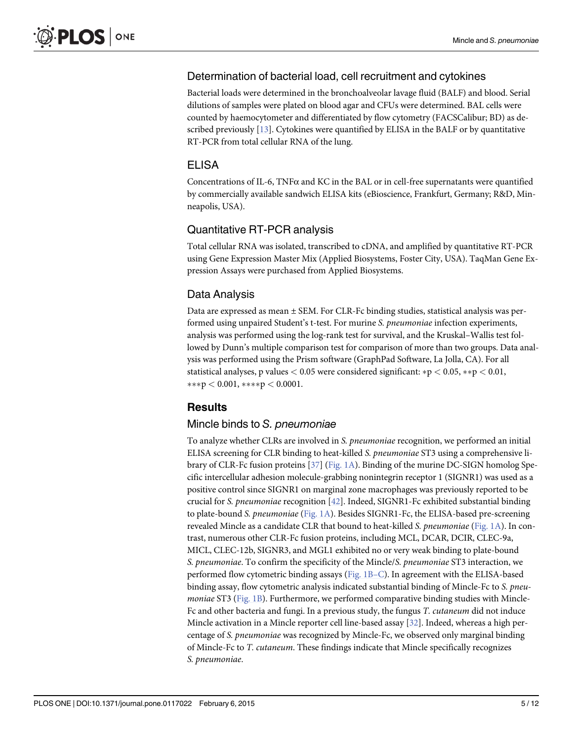# <span id="page-4-0"></span>Determination of bacterial load, cell recruitment and cytokines

Bacterial loads were determined in the bronchoalveolar lavage fluid (BALF) and blood. Serial dilutions of samples were plated on blood agar and CFUs were determined. BAL cells were counted by haemocytometer and differentiated by flow cytometry (FACSCalibur; BD) as described previously [[13](#page-10-0)]. Cytokines were quantified by ELISA in the BALF or by quantitative RT-PCR from total cellular RNA of the lung.

#### ELISA

Concentrations of IL-6, TNF $\alpha$  and KC in the BAL or in cell-free supernatants were quantified by commercially available sandwich ELISA kits (eBioscience, Frankfurt, Germany; R&D, Minneapolis, USA).

#### Quantitative RT-PCR analysis

Total cellular RNA was isolated, transcribed to cDNA, and amplified by quantitative RT-PCR using Gene Expression Master Mix (Applied Biosystems, Foster City, USA). TaqMan Gene Expression Assays were purchased from Applied Biosystems.

#### Data Analysis

Data are expressed as mean  $\pm$  SEM. For CLR-Fc binding studies, statistical analysis was performed using unpaired Student's t-test. For murine S. pneumoniae infection experiments, analysis was performed using the log-rank test for survival, and the Kruskal–Wallis test followed by Dunn's multiple comparison test for comparison of more than two groups. Data analysis was performed using the Prism software (GraphPad Software, La Jolla, CA). For all statistical analyses, p values  $< 0.05$  were considered significant:  $\ast p < 0.05$ ,  $\ast \ast p < 0.01$ ,  $***p < 0.001$ ,  $***p < 0.0001$ .

# **Results**

#### Mincle binds to S. pneumoniae

To analyze whether CLRs are involved in S. pneumoniae recognition, we performed an initial ELISA screening for CLR binding to heat-killed S. pneumoniae ST3 using a comprehensive library of CLR-Fc fusion proteins [\[37\]](#page-11-0) ([Fig. 1A](#page-5-0)). Binding of the murine DC-SIGN homolog Specific intercellular adhesion molecule-grabbing nonintegrin receptor 1 (SIGNR1) was used as a positive control since SIGNR1 on marginal zone macrophages was previously reported to be crucial for S. pneumoniae recognition [\[42\]](#page-11-0). Indeed, SIGNR1-Fc exhibited substantial binding to plate-bound S. pneumoniae ([Fig. 1A](#page-5-0)). Besides SIGNR1-Fc, the ELISA-based pre-screening revealed Mincle as a candidate CLR that bound to heat-killed S. pneumoniae [\(Fig. 1A\)](#page-5-0). In contrast, numerous other CLR-Fc fusion proteins, including MCL, DCAR, DCIR, CLEC-9a, MICL, CLEC-12b, SIGNR3, and MGL1 exhibited no or very weak binding to plate-bound S. pneumoniae. To confirm the specificity of the Mincle/S. pneumoniae ST3 interaction, we performed flow cytometric binding assays [\(Fig. 1B](#page-5-0)–C). In agreement with the ELISA-based binding assay, flow cytometric analysis indicated substantial binding of Mincle-Fc to S. pneu*moniae* ST3 ( $Fig. 1B$ ). Furthermore, we performed comparative binding studies with Mincle-Fc and other bacteria and fungi. In a previous study, the fungus T. cutaneum did not induce Mincle activation in a Mincle reporter cell line-based assay [\[32](#page-11-0)]. Indeed, whereas a high percentage of S. pneumoniae was recognized by Mincle-Fc, we observed only marginal binding of Mincle-Fc to T. cutaneum. These findings indicate that Mincle specifically recognizes S. pneumoniae.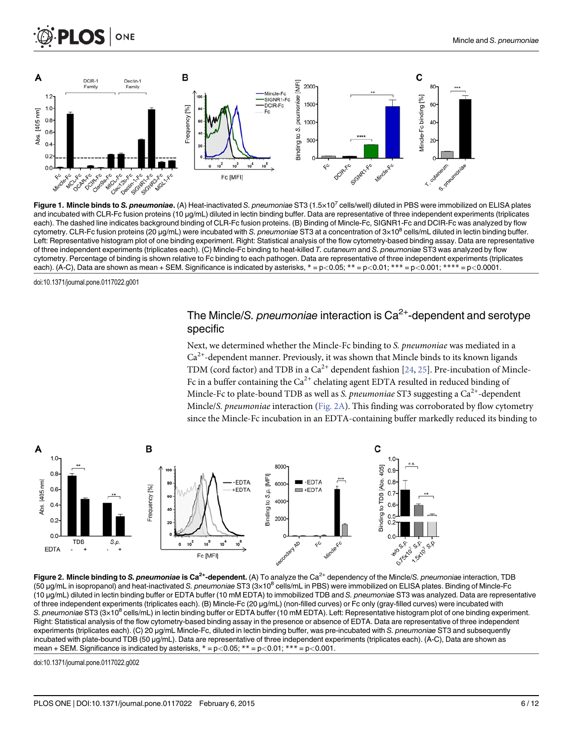<span id="page-5-0"></span>



[Figure 1.](#page-4-0) Mincle binds to S. pneumoniae. (A) Heat-inactivated S. pneumoniae ST3 (1.5×10<sup>7</sup> cells/well) diluted in PBS were immobilized on ELISA plates and incubated with CLR-Fc fusion proteins (10 µg/mL) diluted in lectin binding buffer. Data are representative of three independent experiments (triplicates each). The dashed line indicates background binding of CLR-Fc fusion proteins. (B) Binding of Mincle-Fc, SIGNR1-Fc and DCIR-Fc was analyzed by flow cytometry. CLR-Fc fusion proteins (20  $\mu$ g/mL) were incubated with S. pneumoniae ST3 at a concentration of  $3 \times 10^8$  cells/mL diluted in lectin binding buffer. Left: Representative histogram plot of one binding experiment. Right: Statistical analysis of the flow cytometry-based binding assay. Data are representative of three independent experiments (triplicates each). (C) Mincle-Fc binding to heat-killed T. cutaneum and S. pneumoniae ST3 was analyzed by flow cytometry. Percentage of binding is shown relative to Fc binding to each pathogen. Data are representative of three independent experiments (triplicates each). (A-C), Data are shown as mean + SEM. Significance is indicated by asterisks,  $* = p < 0.05$ ;  $** = p < 0.01$ ;  $*** = p < 0.001$ ;  $*** = p < 0.0001$ .

doi:10.1371/journal.pone.0117022.g001

# The Mincle/S. pneumoniae interaction is  $Ca<sup>2+</sup>$ -dependent and serotype specific

Next, we determined whether the Mincle-Fc binding to S. pneumoniae was mediated in a  $Ca<sup>2+</sup>$ -dependent manner. Previously, it was shown that Mincle binds to its known ligands TDM (cord factor) and TDB in a  $Ca^{2+}$  dependent fashion [[24](#page-10-0), [25](#page-10-0)]. Pre-incubation of Mincle-Fc in a buffer containing the  $Ca^{2+}$  chelating agent EDTA resulted in reduced binding of Mincle-Fc to plate-bound TDB as well as S. pneumoniae ST3 suggesting a  $Ca^{2+}$ -dependent Mincle/S. pneumoniae interaction ( $Fig. 2A$ ). This finding was corroborated by flow cytometry since the Mincle-Fc incubation in an EDTA-containing buffer markedly reduced its binding to





doi:10.1371/journal.pone.0117022.g002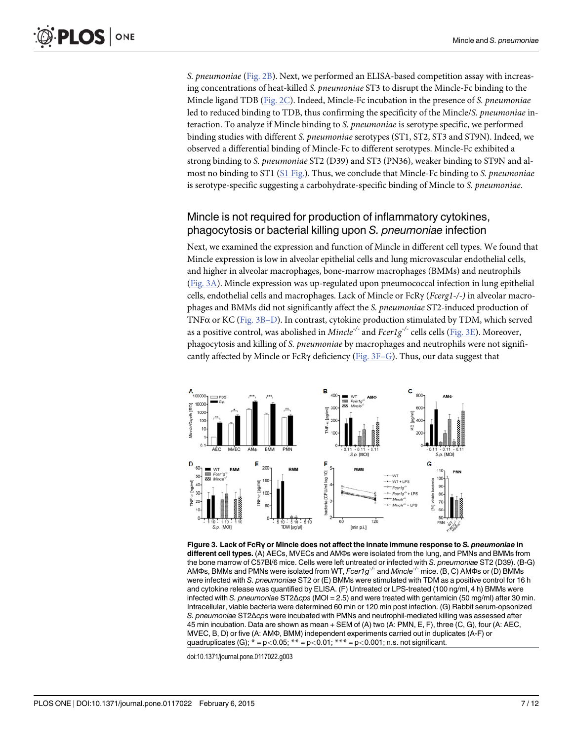.OS | ONE

> S. pneumoniae ([Fig. 2B\)](#page-5-0). Next, we performed an ELISA-based competition assay with increasing concentrations of heat-killed S. pneumoniae ST3 to disrupt the Mincle-Fc binding to the Mincle ligand TDB ([Fig. 2C\)](#page-5-0). Indeed, Mincle-Fc incubation in the presence of S. pneumoniae led to reduced binding to TDB, thus confirming the specificity of the Mincle/S. pneumoniae interaction. To analyze if Mincle binding to S. pneumoniae is serotype specific, we performed binding studies with different S. pneumoniae serotypes (ST1, ST2, ST3 and ST9N). Indeed, we observed a differential binding of Mincle-Fc to different serotypes. Mincle-Fc exhibited a strong binding to S. pneumoniae ST2 (D39) and ST3 (PN36), weaker binding to ST9N and almost no binding to ST1 ( $S1$  Fig.). Thus, we conclude that Mincle-Fc binding to S. pneumoniae is serotype-specific suggesting a carbohydrate-specific binding of Mincle to S. pneumoniae.

# Mincle is not required for production of inflammatory cytokines, phagocytosis or bacterial killing upon S. pneumoniae infection

Next, we examined the expression and function of Mincle in different cell types. We found that Mincle expression is low in alveolar epithelial cells and lung microvascular endothelial cells, and higher in alveolar macrophages, bone-marrow macrophages (BMMs) and neutrophils (Fig. 3A). Mincle expression was up-regulated upon pneumococcal infection in lung epithelial cells, endothelial cells and macrophages. Lack of Mincle or FcRγ (Fcerg1-/-) in alveolar macrophages and BMMs did not significantly affect the S. pneumoniae ST2-induced production of TNF $\alpha$  or KC (Fig. 3B-D). In contrast, cytokine production stimulated by TDM, which served as a positive control, was abolished in *Mincle<sup>-/-</sup>* and  $Fcer1g^{-/-}$  cells cells (Fig. 3E). Moreover, phagocytosis and killing of S. pneumoniae by macrophages and neutrophils were not significantly affected by Mincle or FcRγ deficiency (Fig.  $3F-G$ ). Thus, our data suggest that



Figure 3. Lack of FcRγ or Mincle does not affect the innate immune response to S. pneumoniae in different cell types. (A) AECs, MVECs and AMΦs were isolated from the lung, and PMNs and BMMs from<br>the bone marrow of C57BI/6 mice. Cells were left untreated or infected with S. pneumoniae ST2 (D39). (B-G) the bone marrow of C57Bl/6 mice. Cells were left untreated or infected with S. *pneumoniae* ST2 (D39). (B-G)<br>AMDs. BMMs and PMNs were isolated from WT. *Ecer1a<sup>-/-</sup> and Mincle<sup>-/-</sup> mice. (B. C*.) AMDs or (D) BMMs AMΦs, BMMs and PMNs were isolated from WT, *Fcer1g<sup>-/-</sup> and Mincle<sup>-/-</sup> m*ice. (Β, C) AMΦs or (D) BMMs<br>were infected with S. *pneumoniae* ST2 or (Ε) BMMs were stimulated with TDM as a positive control for 16 were infected with S. pneumoniae ST2 or (E) BMMs were stimulated with TDM as a positive control for 16 h and cytokine release was quantified by ELISA. (F) Untreated or LPS-treated (100 ng/ml, 4 h) BMMs were infected with S. pneumoniae ST2Δcps (MOI = 2.5) and were treated with gentamicin (50 mg/ml) after 30 min. Intracellular, viable bacteria were determined 60 min or 120 min post infection. (G) Rabbit serum-opsonized S. pneumoniae ST2Δcps were incubated with PMNs and neutrophil-mediated killing was assessed after 45 min incubation. Data are shown as mean + SEM of (A) two (A: PMN, E, F), three (C, G), four (A: AEC, MVEC, B, D) or five (A: AMΦ, BMM) independent experiments carried out in duplicates (A-F) or quadruplicates (G);  $* = p < 0.05$ ;  $** = p < 0.01$ ;  $*** = p < 0.001$ ; n.s. not significant.

doi:10.1371/journal.pone.0117022.g003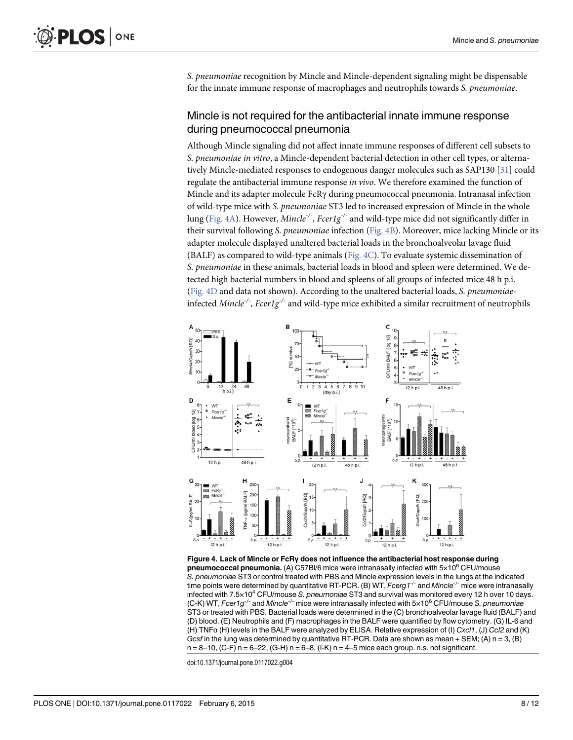<span id="page-7-0"></span>S. pneumoniae recognition by Mincle and Mincle-dependent signaling might be dispensable for the innate immune response of macrophages and neutrophils towards S. pneumoniae.

# Mincle is not required for the antibacterial innate immune response during pneumococcal pneumonia

Although Mincle signaling did not affect innate immune responses of different cell subsets to S. pneumoniae in vitro, a Mincle-dependent bacterial detection in other cell types, or alternatively Mincle-mediated responses to endogenous danger molecules such as SAP130 [[31](#page-11-0)] could regulate the antibacterial immune response in vivo. We therefore examined the function of Mincle and its adapter molecule FcRγ during pneumococcal pneumonia. Intranasal infection of wild-type mice with S. pneumoniae ST3 led to increased expression of Mincle in the whole lung (Fig. 4A). However, *Mincle<sup>-/-</sup>*, *Fcer1g<sup>-/-</sup>* and wild-type mice did not significantly differ in their survival following S. pneumoniae infection (Fig. 4B). Moreover, mice lacking Mincle or its adapter molecule displayed unaltered bacterial loads in the bronchoalveolar lavage fluid (BALF) as compared to wild-type animals ( $Fig. 4C$ ). To evaluate systemic dissemination of S. pneumoniae in these animals, bacterial loads in blood and spleen were determined. We detected high bacterial numbers in blood and spleens of all groups of infected mice 48 h p.i. (Fig. 4D and data not shown). According to the unaltered bacterial loads, S. pneumoniaeinfected Mincle<sup>-/-</sup>, Fcer1g<sup>-/-</sup> and wild-type mice exhibited a similar recruitment of neutrophils



Figure 4. Lack of Mincle or FcRγ does not influence the antibacterial host response during pneumococcal pneumonia. (A) C57Bl/6 mice were intranasally infected with  $5\times10^6$  CFU/mouse S. pneumoniae ST3 or control treated with PBS and Mincle expression levels in the lungs at the indicated time points were determined by quantitative RT-PCR. (B) WT,  $Fcerg<sup>+/-</sup>$  and Mincle<sup>-/-</sup> mice were intranasally infected with  $7.5\times10^4$  CFU/mouse S. pneumoniae ST3 and survival was monitored every 12 h over 10 days. (C-K) WT, Fcer1g<sup>-/-</sup> and Mincle<sup>-/-</sup> mice were intranasally infected with  $5\times10^6$  CFU/mouse S. pneumoniae ST3 or treated with PBS. Bacterial loads were determined in the (C) bronchoalveolar lavage fluid (BALF) and (D) blood. (E) Neutrophils and (F) macrophages in the BALF were quantified by flow cytometry. (G) IL-6 and (H) TNF<sup>α</sup> (H) levels in the BALF were analyzed by ELISA. Relative expression of (I) Cxcl1, (J) Ccl2 and (K) Gcsf in the lung was determined by quantitative RT-PCR. Data are shown as mean + SEM; (A)  $n = 3$ , (B)  $n=8-10$ , (C-F)  $n=6-22$ , (G-H)  $n=6-8$ , (I-K)  $n=4-5$  mice each group. n.s. not significant.

doi:10.1371/journal.pone.0117022.g004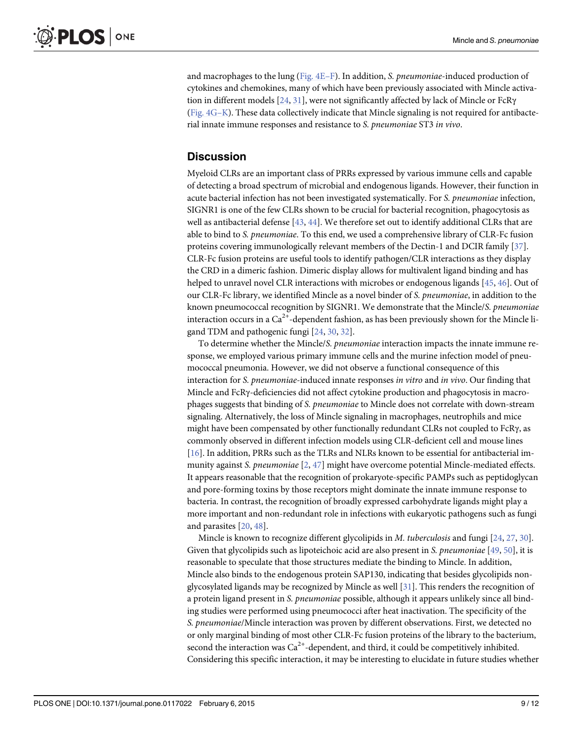<span id="page-8-0"></span>and macrophages to the lung (Fig.  $4E-F$ ). In addition, S. *pneumoniae*-induced production of cytokines and chemokines, many of which have been previously associated with Mincle activation in different models  $[24, 31]$  $[24, 31]$  $[24, 31]$ , were not significantly affected by lack of Mincle or FcR $\gamma$  $(Fig. 4G–K)$  $(Fig. 4G–K)$ . These data collectively indicate that Mincle signaling is not required for antibacterial innate immune responses and resistance to S. pneumoniae ST3 in vivo.

#### **Discussion**

Myeloid CLRs are an important class of PRRs expressed by various immune cells and capable of detecting a broad spectrum of microbial and endogenous ligands. However, their function in acute bacterial infection has not been investigated systematically. For S. pneumoniae infection, SIGNR1 is one of the few CLRs shown to be crucial for bacterial recognition, phagocytosis as well as antibacterial defense [\[43,](#page-11-0) [44\]](#page-11-0). We therefore set out to identify additional CLRs that are able to bind to S. pneumoniae. To this end, we used a comprehensive library of CLR-Fc fusion proteins covering immunologically relevant members of the Dectin-1 and DCIR family [[37](#page-11-0)]. CLR-Fc fusion proteins are useful tools to identify pathogen/CLR interactions as they display the CRD in a dimeric fashion. Dimeric display allows for multivalent ligand binding and has helped to unravel novel CLR interactions with microbes or endogenous ligands [\[45,](#page-11-0) [46\]](#page-11-0). Out of our CLR-Fc library, we identified Mincle as a novel binder of S. pneumoniae, in addition to the known pneumococcal recognition by SIGNR1. We demonstrate that the Mincle/S. pneumoniae interaction occurs in a  $Ca^{2+}$ -dependent fashion, as has been previously shown for the Mincle ligand TDM and pathogenic fungi [[24,](#page-10-0) [30,](#page-10-0) [32\]](#page-11-0).

To determine whether the Mincle/S. pneumoniae interaction impacts the innate immune response, we employed various primary immune cells and the murine infection model of pneumococcal pneumonia. However, we did not observe a functional consequence of this interaction for S. pneumoniae-induced innate responses in vitro and in vivo. Our finding that Mincle and FcRγ-deficiencies did not affect cytokine production and phagocytosis in macrophages suggests that binding of S. pneumoniae to Mincle does not correlate with down-stream signaling. Alternatively, the loss of Mincle signaling in macrophages, neutrophils and mice might have been compensated by other functionally redundant CLRs not coupled to FcRγ, as commonly observed in different infection models using CLR-deficient cell and mouse lines [\[16](#page-10-0)]. In addition, PRRs such as the TLRs and NLRs known to be essential for antibacterial immunity against S. pneumoniae [[2,](#page-9-0) [47\]](#page-11-0) might have overcome potential Mincle-mediated effects. It appears reasonable that the recognition of prokaryote-specific PAMPs such as peptidoglycan and pore-forming toxins by those receptors might dominate the innate immune response to bacteria. In contrast, the recognition of broadly expressed carbohydrate ligands might play a more important and non-redundant role in infections with eukaryotic pathogens such as fungi and parasites [[20](#page-10-0), [48](#page-11-0)].

Mincle is known to recognize different glycolipids in *M. tuberculosis* and fungi [\[24,](#page-10-0) [27,](#page-10-0) [30\]](#page-10-0). Given that glycolipids such as lipoteichoic acid are also present in S. pneumoniae  $[49, 50]$  $[49, 50]$  $[49, 50]$ , it is reasonable to speculate that those structures mediate the binding to Mincle. In addition, Mincle also binds to the endogenous protein SAP130, indicating that besides glycolipids nonglycosylated ligands may be recognized by Mincle as well [[31](#page-11-0)]. This renders the recognition of a protein ligand present in S. pneumoniae possible, although it appears unlikely since all binding studies were performed using pneumococci after heat inactivation. The specificity of the S. pneumoniae/Mincle interaction was proven by different observations. First, we detected no or only marginal binding of most other CLR-Fc fusion proteins of the library to the bacterium, second the interaction was  $Ca^{2+}$ -dependent, and third, it could be competitively inhibited. Considering this specific interaction, it may be interesting to elucidate in future studies whether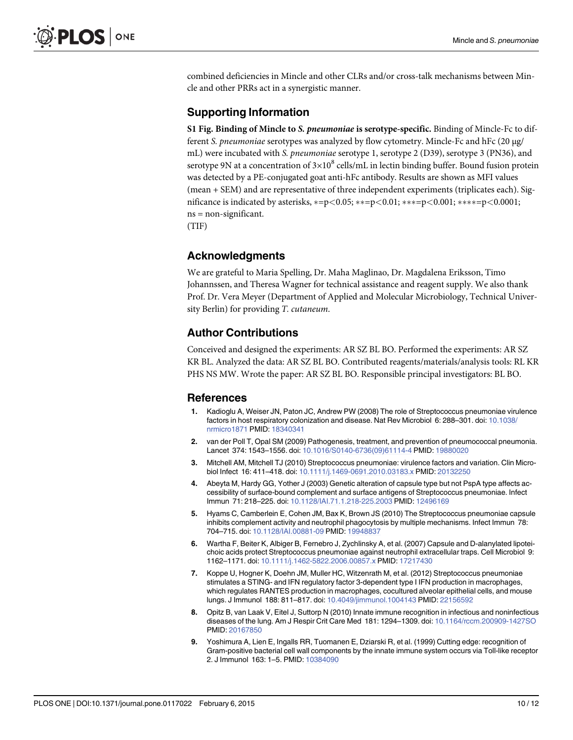<span id="page-9-0"></span>combined deficiencies in Mincle and other CLRs and/or cross-talk mechanisms between Mincle and other PRRs act in a synergistic manner.

#### Supporting Information

[S1 Fig.](http://www.plosone.org/article/fetchSingleRepresentation.action?uri=info:doi/10.1371/journal.pone.0117022.s001) Binding of Mincle to S. pneumoniae is serotype-specific. Binding of Mincle-Fc to different S. pneumoniae serotypes was analyzed by flow cytometry. Mincle-Fc and hFc (20 μg/ mL) were incubated with S. pneumoniae serotype 1, serotype 2 (D39), serotype 3 (PN36), and serotype 9N at a concentration of  $3\times10^8$  cells/mL in lectin binding buffer. Bound fusion protein was detected by a PE-conjugated goat anti-hFc antibody. Results are shown as MFI values (mean + SEM) and are representative of three independent experiments (triplicates each). Significance is indicated by asterisks,  $*=p<0.05$ ;  $**=p<0.01$ ;  $***=p<0.001$ ;  $***=p<0.0001$ ; ns = non-significant. (TIF)

#### Acknowledgments

We are grateful to Maria Spelling, Dr. Maha Maglinao, Dr. Magdalena Eriksson, Timo Johannssen, and Theresa Wagner for technical assistance and reagent supply. We also thank Prof. Dr. Vera Meyer (Department of Applied and Molecular Microbiology, Technical University Berlin) for providing T. cutaneum.

#### Author Contributions

Conceived and designed the experiments: AR SZ BL BO. Performed the experiments: AR SZ KR BL. Analyzed the data: AR SZ BL BO. Contributed reagents/materials/analysis tools: RL KR PHS NS MW. Wrote the paper: AR SZ BL BO. Responsible principal investigators: BL BO.

#### References

- [1.](#page-0-0) Kadioglu A, Weiser JN, Paton JC, Andrew PW (2008) The role of Streptococcus pneumoniae virulence factors in host respiratory colonization and disease. Nat Rev Microbiol 6: 288–301. doi: [10.1038/](http://dx.doi.org/10.1038/nrmicro1871) [nrmicro1871](http://dx.doi.org/10.1038/nrmicro1871) PMID: [18340341](http://www.ncbi.nlm.nih.gov/pubmed/18340341)
- [2.](#page-0-0) van der Poll T, Opal SM (2009) Pathogenesis, treatment, and prevention of pneumococcal pneumonia. Lancet 374: 1543–1556. doi: [10.1016/S0140-6736\(09\)61114-4](http://dx.doi.org/10.1016/S0140-6736(09)61114-4) PMID: [19880020](http://www.ncbi.nlm.nih.gov/pubmed/19880020)
- [3.](#page-1-0) Mitchell AM, Mitchell TJ (2010) Streptococcus pneumoniae: virulence factors and variation. Clin Microbiol Infect 16: 411–418. doi: [10.1111/j.1469-0691.2010.03183.x](http://dx.doi.org/10.1111/j.1469-0691.2010.03183.x) PMID: [20132250](http://www.ncbi.nlm.nih.gov/pubmed/20132250)
- [4.](#page-1-0) Abeyta M, Hardy GG, Yother J (2003) Genetic alteration of capsule type but not PspA type affects accessibility of surface-bound complement and surface antigens of Streptococcus pneumoniae. Infect Immun 71: 218–225. doi: [10.1128/IAI.71.1.218-225.2003](http://dx.doi.org/10.1128/IAI.71.1.218-225.2003) PMID: [12496169](http://www.ncbi.nlm.nih.gov/pubmed/12496169)
- 5. Hyams C, Camberlein E, Cohen JM, Bax K, Brown JS (2010) The Streptococcus pneumoniae capsule inhibits complement activity and neutrophil phagocytosis by multiple mechanisms. Infect Immun 78: 704–715. doi: [10.1128/IAI.00881-09](http://dx.doi.org/10.1128/IAI.00881-09) PMID: [19948837](http://www.ncbi.nlm.nih.gov/pubmed/19948837)
- [6.](#page-1-0) Wartha F, Beiter K, Albiger B, Fernebro J, Zychlinsky A, et al. (2007) Capsule and D-alanylated lipoteichoic acids protect Streptococcus pneumoniae against neutrophil extracellular traps. Cell Microbiol 9: 1162–1171. doi: [10.1111/j.1462-5822.2006.00857.x](http://dx.doi.org/10.1111/j.1462-5822.2006.00857.x) PMID: [17217430](http://www.ncbi.nlm.nih.gov/pubmed/17217430)
- [7.](#page-1-0) Koppe U, Hogner K, Doehn JM, Muller HC, Witzenrath M, et al. (2012) Streptococcus pneumoniae stimulates a STING- and IFN regulatory factor 3-dependent type I IFN production in macrophages, which regulates RANTES production in macrophages, cocultured alveolar epithelial cells, and mouse lungs. J Immunol 188: 811–817. doi: [10.4049/jimmunol.1004143](http://dx.doi.org/10.4049/jimmunol.1004143) PMID: [22156592](http://www.ncbi.nlm.nih.gov/pubmed/22156592)
- [8.](#page-1-0) Opitz B, van Laak V, Eitel J, Suttorp N (2010) Innate immune recognition in infectious and noninfectious diseases of the lung. Am J Respir Crit Care Med 181: 1294–1309. doi: [10.1164/rccm.200909-1427SO](http://dx.doi.org/10.1164/rccm.200909-1427SO) PMID: [20167850](http://www.ncbi.nlm.nih.gov/pubmed/20167850)
- [9.](#page-1-0) Yoshimura A, Lien E, Ingalls RR, Tuomanen E, Dziarski R, et al. (1999) Cutting edge: recognition of Gram-positive bacterial cell wall components by the innate immune system occurs via Toll-like receptor 2. J Immunol 163: 1–5. PMID: [10384090](http://www.ncbi.nlm.nih.gov/pubmed/10384090)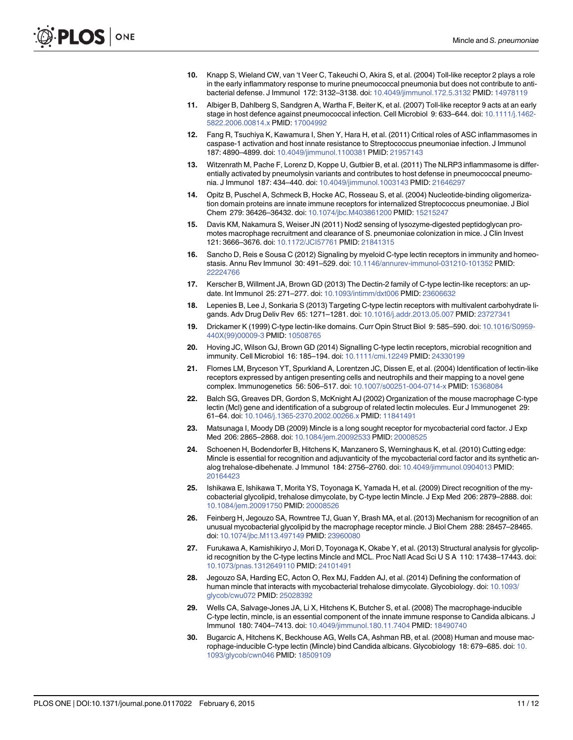- <span id="page-10-0"></span>10. Knapp S, Wieland CW, van 't Veer C, Takeuchi O, Akira S, et al. (2004) Toll-like receptor 2 plays a role in the early inflammatory response to murine pneumococcal pneumonia but does not contribute to antibacterial defense. J Immunol 172: 3132–3138. doi: [10.4049/jimmunol.172.5.3132](http://dx.doi.org/10.4049/jimmunol.172.5.3132) PMID: [14978119](http://www.ncbi.nlm.nih.gov/pubmed/14978119)
- [11.](#page-1-0) Albiger B, Dahlberg S, Sandgren A, Wartha F, Beiter K, et al. (2007) Toll-like receptor 9 acts at an early stage in host defence against pneumococcal infection. Cell Microbiol 9: 633-644. doi: [10.1111/j.1462-](http://dx.doi.org/10.1111/j.1462-5822.2006.00814.x) [5822.2006.00814.x](http://dx.doi.org/10.1111/j.1462-5822.2006.00814.x) PMID: [17004992](http://www.ncbi.nlm.nih.gov/pubmed/17004992)
- [12.](#page-1-0) Fang R, Tsuchiya K, Kawamura I, Shen Y, Hara H, et al. (2011) Critical roles of ASC inflammasomes in caspase-1 activation and host innate resistance to Streptococcus pneumoniae infection. J Immunol 187: 4890–4899. doi: [10.4049/jimmunol.1100381](http://dx.doi.org/10.4049/jimmunol.1100381) PMID: [21957143](http://www.ncbi.nlm.nih.gov/pubmed/21957143)
- [13.](#page-3-0) Witzenrath M, Pache F, Lorenz D, Koppe U, Gutbier B, et al. (2011) The NLRP3 inflammasome is differentially activated by pneumolysin variants and contributes to host defense in pneumococcal pneumonia. J Immunol 187: 434–440. doi: [10.4049/jimmunol.1003143](http://dx.doi.org/10.4049/jimmunol.1003143) PMID: [21646297](http://www.ncbi.nlm.nih.gov/pubmed/21646297)
- 14. Opitz B, Puschel A, Schmeck B, Hocke AC, Rosseau S, et al. (2004) Nucleotide-binding oligomerization domain proteins are innate immune receptors for internalized Streptococcus pneumoniae. J Biol Chem 279: 36426–36432. doi: [10.1074/jbc.M403861200](http://dx.doi.org/10.1074/jbc.M403861200) PMID: [15215247](http://www.ncbi.nlm.nih.gov/pubmed/15215247)
- [15.](#page-1-0) Davis KM, Nakamura S, Weiser JN (2011) Nod2 sensing of lysozyme-digested peptidoglycan promotes macrophage recruitment and clearance of S. pneumoniae colonization in mice. J Clin Invest 121: 3666–3676. doi: [10.1172/JCI57761](http://dx.doi.org/10.1172/JCI57761) PMID: [21841315](http://www.ncbi.nlm.nih.gov/pubmed/21841315)
- [16.](#page-1-0) Sancho D, Reis e Sousa C (2012) Signaling by myeloid C-type lectin receptors in immunity and homeostasis. Annu Rev Immunol 30: 491–529. doi: [10.1146/annurev-immunol-031210-101352](http://dx.doi.org/10.1146/annurev-immunol-031210-101352) PMID: [22224766](http://www.ncbi.nlm.nih.gov/pubmed/22224766)
- 17. Kerscher B, Willment JA, Brown GD (2013) The Dectin-2 family of C-type lectin-like receptors: an update. Int Immunol 25: 271–277. doi: [10.1093/intimm/dxt006](http://dx.doi.org/10.1093/intimm/dxt006) PMID: [23606632](http://www.ncbi.nlm.nih.gov/pubmed/23606632)
- [18.](#page-1-0) Lepenies B, Lee J, Sonkaria S (2013) Targeting C-type lectin receptors with multivalent carbohydrate ligands. Adv Drug Deliv Rev 65: 1271–1281. doi: [10.1016/j.addr.2013.05.007](http://dx.doi.org/10.1016/j.addr.2013.05.007) PMID: [23727341](http://www.ncbi.nlm.nih.gov/pubmed/23727341)
- [19.](#page-1-0) Drickamer K (1999) C-type lectin-like domains. Curr Opin Struct Biol 9: 585–590. doi: [10.1016/S0959-](http://dx.doi.org/10.1016/S0959-440X(99)00009-3) [440X\(99\)00009-3](http://dx.doi.org/10.1016/S0959-440X(99)00009-3) PMID: [10508765](http://www.ncbi.nlm.nih.gov/pubmed/10508765)
- [20.](#page-1-0) Hoving JC, Wilson GJ, Brown GD (2014) Signalling C-type lectin receptors, microbial recognition and immunity. Cell Microbiol 16: 185–194. doi: [10.1111/cmi.12249](http://dx.doi.org/10.1111/cmi.12249) PMID: [24330199](http://www.ncbi.nlm.nih.gov/pubmed/24330199)
- [21.](#page-1-0) Flornes LM, Bryceson YT, Spurkland A, Lorentzen JC, Dissen E, et al. (2004) Identification of lectin-like receptors expressed by antigen presenting cells and neutrophils and their mapping to a novel gene complex. Immunogenetics 56: 506–517. doi: [10.1007/s00251-004-0714-x](http://dx.doi.org/10.1007/s00251-004-0714-x) PMID: [15368084](http://www.ncbi.nlm.nih.gov/pubmed/15368084)
- [22.](#page-1-0) Balch SG, Greaves DR, Gordon S, McKnight AJ (2002) Organization of the mouse macrophage C-type lectin (Mcl) gene and identification of a subgroup of related lectin molecules. Eur J Immunogenet 29: 61–64. doi: [10.1046/j.1365-2370.2002.00266.x](http://dx.doi.org/10.1046/j.1365-2370.2002.00266.x) PMID: [11841491](http://www.ncbi.nlm.nih.gov/pubmed/11841491)
- [23.](#page-1-0) Matsunaga I, Moody DB (2009) Mincle is a long sought receptor for mycobacterial cord factor. J Exp Med 206: 2865–2868. doi: [10.1084/jem.20092533](http://dx.doi.org/10.1084/jem.20092533) PMID: [20008525](http://www.ncbi.nlm.nih.gov/pubmed/20008525)
- [24.](#page-5-0) Schoenen H, Bodendorfer B, Hitchens K, Manzanero S, Werninghaus K, et al. (2010) Cutting edge: Mincle is essential for recognition and adjuvanticity of the mycobacterial cord factor and its synthetic analog trehalose-dibehenate. J Immunol 184: 2756–2760. doi: [10.4049/jimmunol.0904013](http://dx.doi.org/10.4049/jimmunol.0904013) PMID: [20164423](http://www.ncbi.nlm.nih.gov/pubmed/20164423)
- [25.](#page-1-0) Ishikawa E, Ishikawa T, Morita YS, Toyonaga K, Yamada H, et al. (2009) Direct recognition of the mycobacterial glycolipid, trehalose dimycolate, by C-type lectin Mincle. J Exp Med 206: 2879–2888. doi: [10.1084/jem.20091750](http://dx.doi.org/10.1084/jem.20091750) PMID: [20008526](http://www.ncbi.nlm.nih.gov/pubmed/20008526)
- [26.](#page-1-0) Feinberg H, Jegouzo SA, Rowntree TJ, Guan Y, Brash MA, et al. (2013) Mechanism for recognition of an unusual mycobacterial glycolipid by the macrophage receptor mincle. J Biol Chem 288: 28457–28465. doi: [10.1074/jbc.M113.497149](http://dx.doi.org/10.1074/jbc.M113.497149) PMID: [23960080](http://www.ncbi.nlm.nih.gov/pubmed/23960080)
- [27.](#page-8-0) Furukawa A, Kamishikiryo J, Mori D, Toyonaga K, Okabe Y, et al. (2013) Structural analysis for glycolipid recognition by the C-type lectins Mincle and MCL. Proc Natl Acad Sci U S A 110: 17438–17443. doi: [10.1073/pnas.1312649110](http://dx.doi.org/10.1073/pnas.1312649110) PMID: [24101491](http://www.ncbi.nlm.nih.gov/pubmed/24101491)
- [28.](#page-1-0) Jegouzo SA, Harding EC, Acton O, Rex MJ, Fadden AJ, et al. (2014) Defining the conformation of human mincle that interacts with mycobacterial trehalose dimycolate. Glycobiology. doi: [10.1093/](http://dx.doi.org/10.1093/glycob/cwu072) [glycob/cwu072](http://dx.doi.org/10.1093/glycob/cwu072) PMID: [25028392](http://www.ncbi.nlm.nih.gov/pubmed/25028392)
- [29.](#page-1-0) Wells CA, Salvage-Jones JA, Li X, Hitchens K, Butcher S, et al. (2008) The macrophage-inducible C-type lectin, mincle, is an essential component of the innate immune response to Candida albicans. J Immunol 180: 7404–7413. doi: [10.4049/jimmunol.180.11.7404](http://dx.doi.org/10.4049/jimmunol.180.11.7404) PMID: [18490740](http://www.ncbi.nlm.nih.gov/pubmed/18490740)
- [30.](#page-8-0) Bugarcic A, Hitchens K, Beckhouse AG, Wells CA, Ashman RB, et al. (2008) Human and mouse macrophage-inducible C-type lectin (Mincle) bind Candida albicans. Glycobiology 18: 679–685. doi: [10.](http://dx.doi.org/10.1093/glycob/cwn046) [1093/glycob/cwn046](http://dx.doi.org/10.1093/glycob/cwn046) PMID: [18509109](http://www.ncbi.nlm.nih.gov/pubmed/18509109)